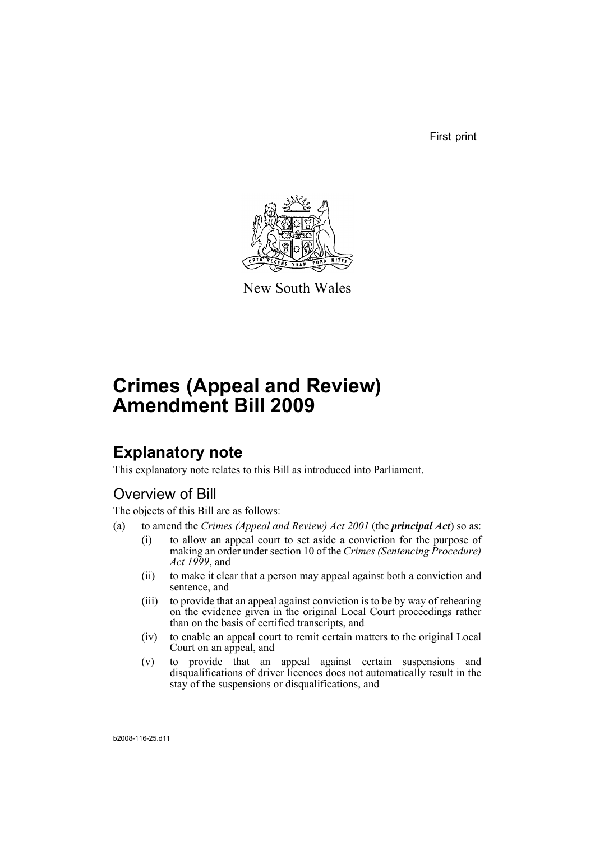First print



New South Wales

# **Crimes (Appeal and Review) Amendment Bill 2009**

## **Explanatory note**

This explanatory note relates to this Bill as introduced into Parliament.

## Overview of Bill

The objects of this Bill are as follows:

- (a) to amend the *Crimes (Appeal and Review) Act 2001* (the *principal Act*) so as:
	- (i) to allow an appeal court to set aside a conviction for the purpose of making an order under section 10 of the *Crimes (Sentencing Procedure) Act 1999*, and
	- (ii) to make it clear that a person may appeal against both a conviction and sentence, and
	- (iii) to provide that an appeal against conviction is to be by way of rehearing on the evidence given in the original Local Court proceedings rather than on the basis of certified transcripts, and
	- (iv) to enable an appeal court to remit certain matters to the original Local Court on an appeal, and
	- (v) to provide that an appeal against certain suspensions and disqualifications of driver licences does not automatically result in the stay of the suspensions or disqualifications, and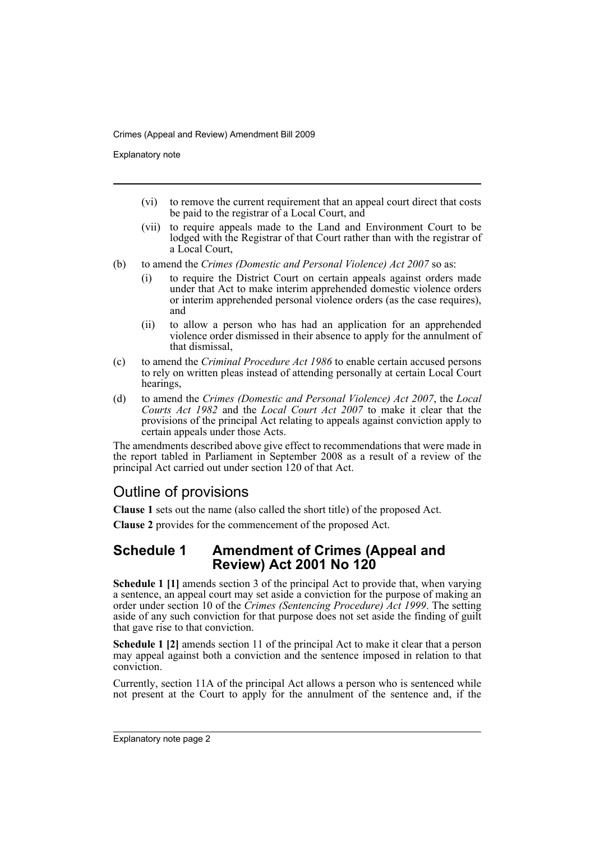Explanatory note

- (vi) to remove the current requirement that an appeal court direct that costs be paid to the registrar of a Local Court, and
- (vii) to require appeals made to the Land and Environment Court to be lodged with the Registrar of that Court rather than with the registrar of a Local Court,
- (b) to amend the *Crimes (Domestic and Personal Violence) Act 2007* so as:
	- (i) to require the District Court on certain appeals against orders made under that Act to make interim apprehended domestic violence orders or interim apprehended personal violence orders (as the case requires), and
	- (ii) to allow a person who has had an application for an apprehended violence order dismissed in their absence to apply for the annulment of that dismissal,
- (c) to amend the *Criminal Procedure Act 1986* to enable certain accused persons to rely on written pleas instead of attending personally at certain Local Court hearings,
- (d) to amend the *Crimes (Domestic and Personal Violence) Act 2007*, the *Local Courts Act 1982* and the *Local Court Act 2007* to make it clear that the provisions of the principal Act relating to appeals against conviction apply to certain appeals under those Acts.

The amendments described above give effect to recommendations that were made in the report tabled in Parliament in September 2008 as a result of a review of the principal Act carried out under section 120 of that Act.

## Outline of provisions

**Clause 1** sets out the name (also called the short title) of the proposed Act.

**Clause 2** provides for the commencement of the proposed Act.

### **Schedule 1 Amendment of Crimes (Appeal and Review) Act 2001 No 120**

**Schedule 1 [1]** amends section 3 of the principal Act to provide that, when varying a sentence, an appeal court may set aside a conviction for the purpose of making an order under section 10 of the *Crimes (Sentencing Procedure) Act 1999*. The setting aside of any such conviction for that purpose does not set aside the finding of guilt that gave rise to that conviction.

**Schedule 1 [2]** amends section 11 of the principal Act to make it clear that a person may appeal against both a conviction and the sentence imposed in relation to that conviction.

Currently, section 11A of the principal Act allows a person who is sentenced while not present at the Court to apply for the annulment of the sentence and, if the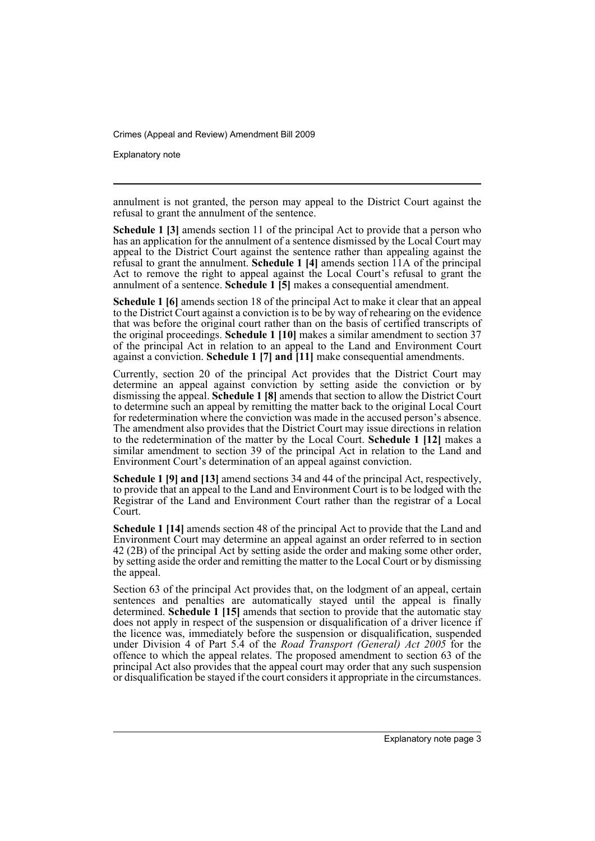Explanatory note

annulment is not granted, the person may appeal to the District Court against the refusal to grant the annulment of the sentence.

**Schedule 1 [3]** amends section 11 of the principal Act to provide that a person who has an application for the annulment of a sentence dismissed by the Local Court may appeal to the District Court against the sentence rather than appealing against the refusal to grant the annulment. **Schedule 1 [4]** amends section 11A of the principal Act to remove the right to appeal against the Local Court's refusal to grant the annulment of a sentence. **Schedule 1 [5]** makes a consequential amendment.

**Schedule 1 [6]** amends section 18 of the principal Act to make it clear that an appeal to the District Court against a conviction is to be by way of rehearing on the evidence that was before the original court rather than on the basis of certified transcripts of the original proceedings. **Schedule 1 [10]** makes a similar amendment to section 37 of the principal Act in relation to an appeal to the Land and Environment Court against a conviction. **Schedule 1 [7] and [11]** make consequential amendments.

Currently, section 20 of the principal Act provides that the District Court may determine an appeal against conviction by setting aside the conviction or by dismissing the appeal. **Schedule 1 [8]** amends that section to allow the District Court to determine such an appeal by remitting the matter back to the original Local Court for redetermination where the conviction was made in the accused person's absence. The amendment also provides that the District Court may issue directions in relation to the redetermination of the matter by the Local Court. **Schedule 1 [12]** makes a similar amendment to section 39 of the principal Act in relation to the Land and Environment Court's determination of an appeal against conviction.

**Schedule 1 [9] and [13]** amend sections 34 and 44 of the principal Act, respectively, to provide that an appeal to the Land and Environment Court is to be lodged with the Registrar of the Land and Environment Court rather than the registrar of a Local Court.

**Schedule 1 [14]** amends section 48 of the principal Act to provide that the Land and Environment Court may determine an appeal against an order referred to in section 42 (2B) of the principal Act by setting aside the order and making some other order, by setting aside the order and remitting the matter to the Local Court or by dismissing the appeal.

Section 63 of the principal Act provides that, on the lodgment of an appeal, certain sentences and penalties are automatically stayed until the appeal is finally determined. **Schedule 1 [15]** amends that section to provide that the automatic stay does not apply in respect of the suspension or disqualification of a driver licence if the licence was, immediately before the suspension or disqualification, suspended under Division 4 of Part 5.4 of the *Road Transport (General) Act 2005* for the offence to which the appeal relates. The proposed amendment to section 63 of the principal Act also provides that the appeal court may order that any such suspension or disqualification be stayed if the court considers it appropriate in the circumstances.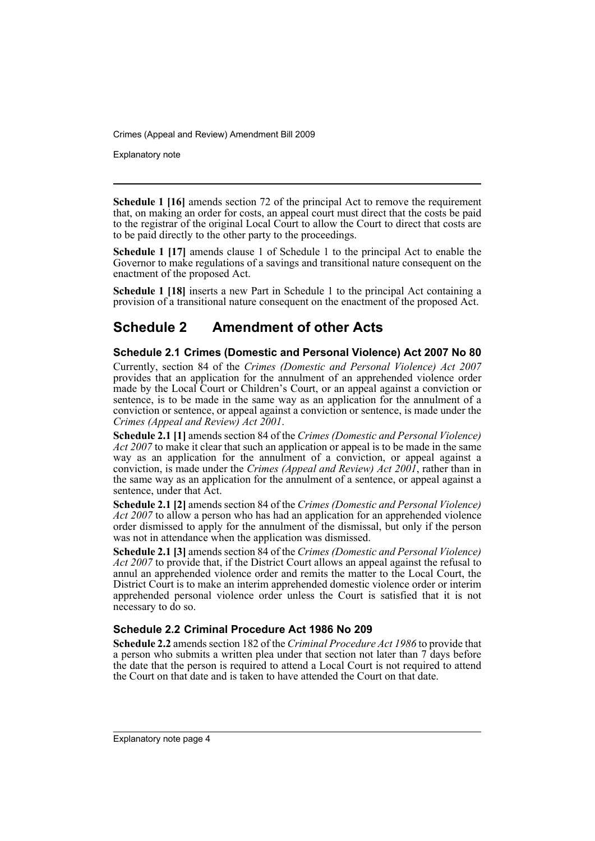Explanatory note

**Schedule 1 [16]** amends section 72 of the principal Act to remove the requirement that, on making an order for costs, an appeal court must direct that the costs be paid to the registrar of the original Local Court to allow the Court to direct that costs are to be paid directly to the other party to the proceedings.

**Schedule 1 [17]** amends clause 1 of Schedule 1 to the principal Act to enable the Governor to make regulations of a savings and transitional nature consequent on the enactment of the proposed Act.

**Schedule 1 [18]** inserts a new Part in Schedule 1 to the principal Act containing a provision of a transitional nature consequent on the enactment of the proposed Act.

## **Schedule 2 Amendment of other Acts**

#### **Schedule 2.1 Crimes (Domestic and Personal Violence) Act 2007 No 80**

Currently, section 84 of the *Crimes (Domestic and Personal Violence) Act 2007* provides that an application for the annulment of an apprehended violence order made by the Local Court or Children's Court, or an appeal against a conviction or sentence, is to be made in the same way as an application for the annulment of a conviction or sentence, or appeal against a conviction or sentence, is made under the *Crimes (Appeal and Review) Act 2001*.

**Schedule 2.1 [1]** amends section 84 of the *Crimes (Domestic and Personal Violence) Act 2007* to make it clear that such an application or appeal is to be made in the same way as an application for the annulment of a conviction, or appeal against a conviction, is made under the *Crimes (Appeal and Review) Act 2001*, rather than in the same way as an application for the annulment of a sentence, or appeal against a sentence, under that Act.

**Schedule 2.1 [2]** amends section 84 of the *Crimes (Domestic and Personal Violence) Act 2007* to allow a person who has had an application for an apprehended violence order dismissed to apply for the annulment of the dismissal, but only if the person was not in attendance when the application was dismissed.

**Schedule 2.1 [3]** amends section 84 of the *Crimes (Domestic and Personal Violence) Act 2007* to provide that, if the District Court allows an appeal against the refusal to annul an apprehended violence order and remits the matter to the Local Court, the District Court is to make an interim apprehended domestic violence order or interim apprehended personal violence order unless the Court is satisfied that it is not necessary to do so.

#### **Schedule 2.2 Criminal Procedure Act 1986 No 209**

**Schedule 2.2** amends section 182 of the *Criminal Procedure Act 1986* to provide that a person who submits a written plea under that section not later than 7 days before the date that the person is required to attend a Local Court is not required to attend the Court on that date and is taken to have attended the Court on that date.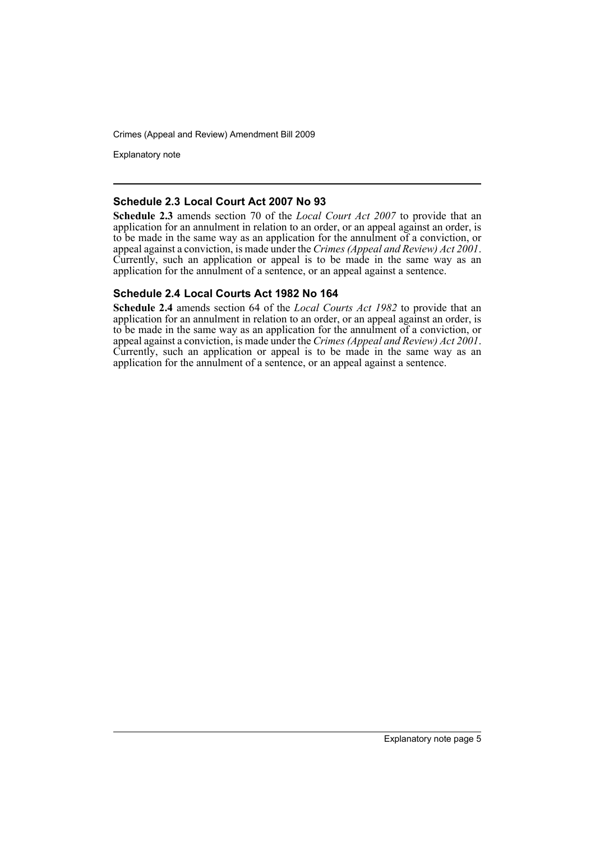Explanatory note

#### **Schedule 2.3 Local Court Act 2007 No 93**

**Schedule 2.3** amends section 70 of the *Local Court Act 2007* to provide that an application for an annulment in relation to an order, or an appeal against an order, is to be made in the same way as an application for the annulment of a conviction, or appeal against a conviction, is made under the *Crimes (Appeal and Review) Act 2001*. Currently, such an application or appeal is to be made in the same way as an application for the annulment of a sentence, or an appeal against a sentence.

#### **Schedule 2.4 Local Courts Act 1982 No 164**

**Schedule 2.4** amends section 64 of the *Local Courts Act 1982* to provide that an application for an annulment in relation to an order, or an appeal against an order, is to be made in the same way as an application for the annulment of a conviction, or appeal against a conviction, is made under the *Crimes (Appeal and Review) Act 2001*. Currently, such an application or appeal is to be made in the same way as an application for the annulment of a sentence, or an appeal against a sentence.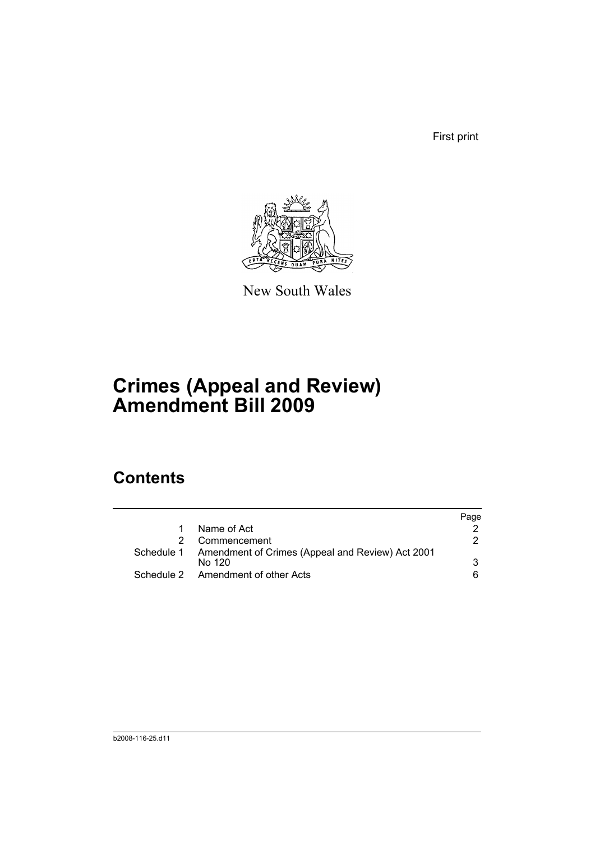First print



New South Wales

# **Crimes (Appeal and Review) Amendment Bill 2009**

## **Contents**

|                                                                       | Page |
|-----------------------------------------------------------------------|------|
| Name of Act                                                           |      |
| Commencement                                                          | 2    |
| Schedule 1 Amendment of Crimes (Appeal and Review) Act 2001<br>No 120 | 3    |
| Schedule 2 Amendment of other Acts                                    | 6.   |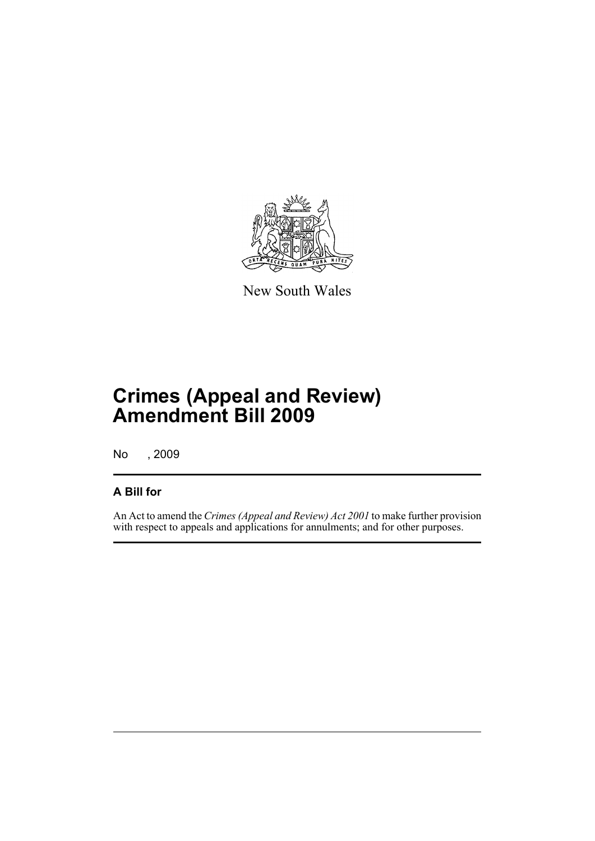

New South Wales

# **Crimes (Appeal and Review) Amendment Bill 2009**

No , 2009

### **A Bill for**

An Act to amend the *Crimes (Appeal and Review) Act 2001* to make further provision with respect to appeals and applications for annulments; and for other purposes.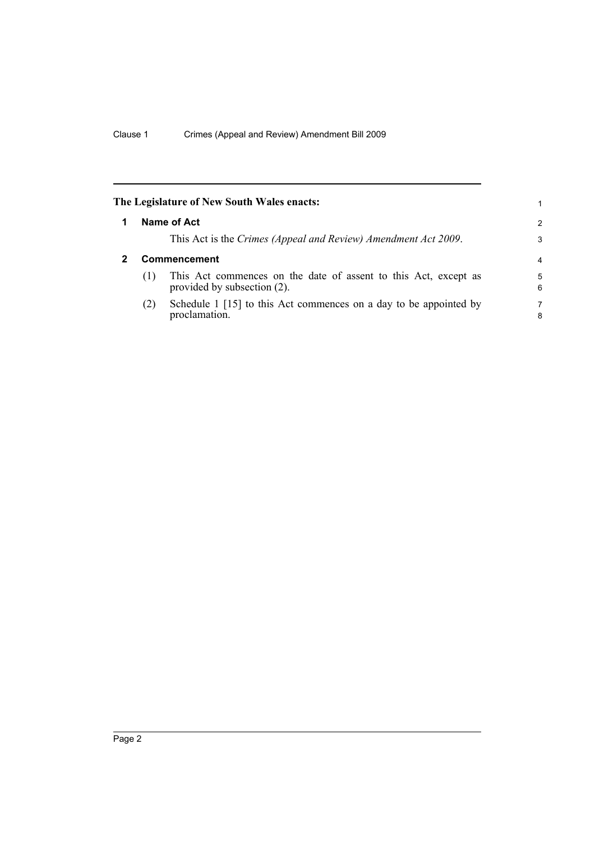<span id="page-9-1"></span><span id="page-9-0"></span>

|              | The Legislature of New South Wales enacts:                                                     | 1      |
|--------------|------------------------------------------------------------------------------------------------|--------|
|              | Name of Act                                                                                    | 2      |
|              | This Act is the Crimes (Appeal and Review) Amendment Act 2009.                                 | 3      |
| Commencement |                                                                                                | 4      |
| (1)          | This Act commences on the date of assent to this Act, except as<br>provided by subsection (2). | 5<br>6 |
| (2)          | Schedule 1 [15] to this Act commences on a day to be appointed by<br>proclamation.             | 7<br>8 |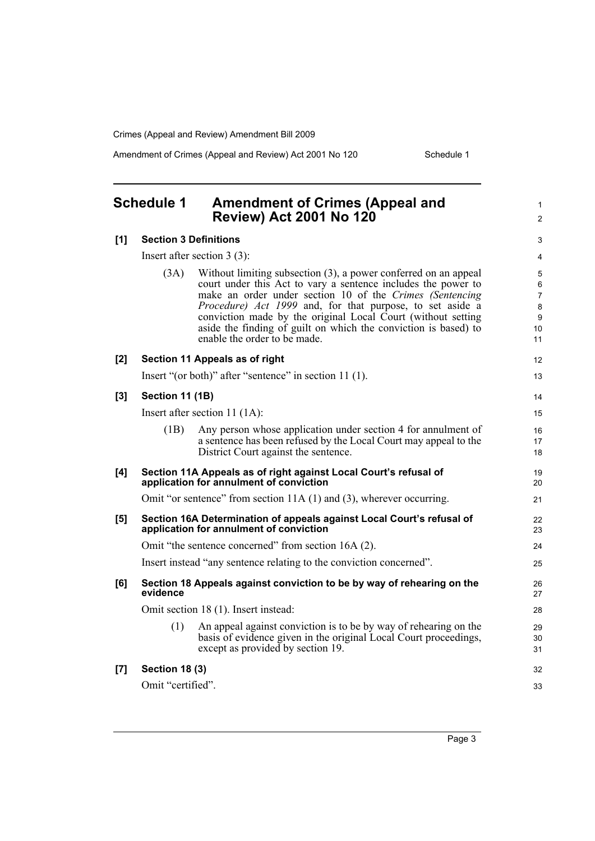Amendment of Crimes (Appeal and Review) Act 2001 No 120 Schedule 1

1 2

### <span id="page-10-0"></span>**Schedule 1 Amendment of Crimes (Appeal and Review) Act 2001 No 120**

| [1] | <b>Section 3 Definitions</b>  |                                                                                                                                                                                                                                                                                                                                                                                                                              |                                                                     |
|-----|-------------------------------|------------------------------------------------------------------------------------------------------------------------------------------------------------------------------------------------------------------------------------------------------------------------------------------------------------------------------------------------------------------------------------------------------------------------------|---------------------------------------------------------------------|
|     | Insert after section $3(3)$ : |                                                                                                                                                                                                                                                                                                                                                                                                                              |                                                                     |
|     | (3A)                          | Without limiting subsection (3), a power conferred on an appeal<br>court under this Act to vary a sentence includes the power to<br>make an order under section 10 of the Crimes (Sentencing<br>Procedure) Act 1999 and, for that purpose, to set aside a<br>conviction made by the original Local Court (without setting<br>aside the finding of guilt on which the conviction is based) to<br>enable the order to be made. | 5<br>6<br>$\overline{7}$<br>$\bf 8$<br>$\boldsymbol{9}$<br>10<br>11 |
| [2] |                               | Section 11 Appeals as of right                                                                                                                                                                                                                                                                                                                                                                                               | 12                                                                  |
|     |                               | Insert "(or both)" after "sentence" in section 11 (1).                                                                                                                                                                                                                                                                                                                                                                       | 13                                                                  |
| [3] | Section 11 (1B)               |                                                                                                                                                                                                                                                                                                                                                                                                                              | 14                                                                  |
|     |                               | Insert after section 11 $(1A)$ :                                                                                                                                                                                                                                                                                                                                                                                             | 15                                                                  |
|     | (1B)                          | Any person whose application under section 4 for annulment of<br>a sentence has been refused by the Local Court may appeal to the<br>District Court against the sentence.                                                                                                                                                                                                                                                    | 16<br>17<br>18                                                      |
| [4] |                               | Section 11A Appeals as of right against Local Court's refusal of<br>application for annulment of conviction                                                                                                                                                                                                                                                                                                                  | 19<br>20                                                            |
|     |                               | Omit "or sentence" from section 11A (1) and (3), wherever occurring.                                                                                                                                                                                                                                                                                                                                                         | 21                                                                  |
| [5] |                               | Section 16A Determination of appeals against Local Court's refusal of<br>application for annulment of conviction                                                                                                                                                                                                                                                                                                             | 22<br>23                                                            |
|     |                               | Omit "the sentence concerned" from section 16A (2).                                                                                                                                                                                                                                                                                                                                                                          | 24                                                                  |
|     |                               | Insert instead "any sentence relating to the conviction concerned".                                                                                                                                                                                                                                                                                                                                                          | 25                                                                  |
| [6] | evidence                      | Section 18 Appeals against conviction to be by way of rehearing on the                                                                                                                                                                                                                                                                                                                                                       | 26<br>27                                                            |
|     |                               | Omit section 18 (1). Insert instead:                                                                                                                                                                                                                                                                                                                                                                                         | 28                                                                  |
|     | (1)                           | An appeal against conviction is to be by way of rehearing on the<br>basis of evidence given in the original Local Court proceedings,<br>except as provided by section 19.                                                                                                                                                                                                                                                    | 29<br>30<br>31                                                      |
| [7] | <b>Section 18 (3)</b>         |                                                                                                                                                                                                                                                                                                                                                                                                                              | 32                                                                  |
|     | Omit "certified".             |                                                                                                                                                                                                                                                                                                                                                                                                                              | 33                                                                  |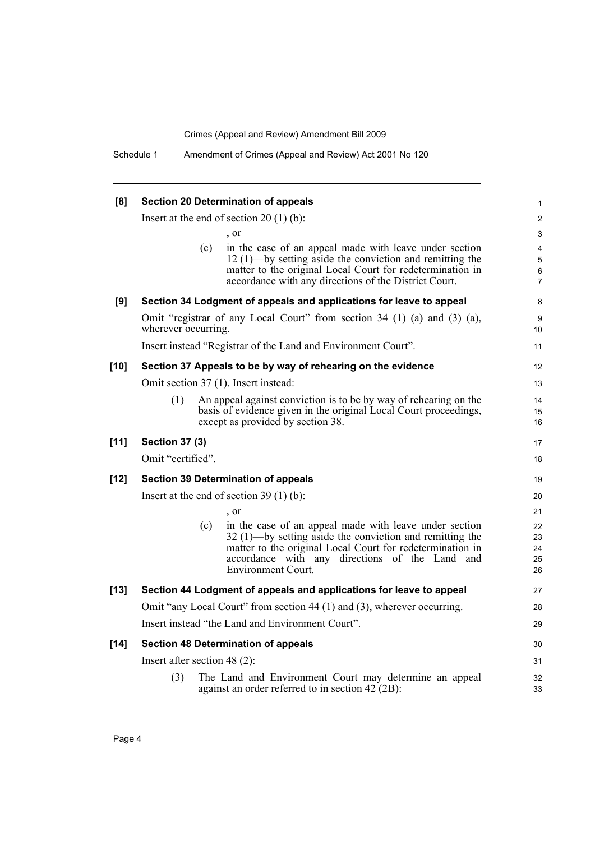| [8]    | <b>Section 20 Determination of appeals</b>                              |     |                                                                                                                                                                                                                                                                  | $\mathbf{1}$                                            |
|--------|-------------------------------------------------------------------------|-----|------------------------------------------------------------------------------------------------------------------------------------------------------------------------------------------------------------------------------------------------------------------|---------------------------------------------------------|
|        | Insert at the end of section $20(1)(b)$ :                               |     |                                                                                                                                                                                                                                                                  | $\overline{2}$                                          |
|        |                                                                         |     | , or                                                                                                                                                                                                                                                             | 3                                                       |
|        |                                                                         | (c) | in the case of an appeal made with leave under section<br>$12(1)$ —by setting aside the conviction and remitting the<br>matter to the original Local Court for redetermination in<br>accordance with any directions of the District Court.                       | $\overline{4}$<br>$\overline{5}$<br>6<br>$\overline{7}$ |
| [9]    |                                                                         |     | Section 34 Lodgment of appeals and applications for leave to appeal                                                                                                                                                                                              | 8                                                       |
|        | wherever occurring.                                                     |     | Omit "registrar of any Local Court" from section 34 (1) (a) and (3) (a),                                                                                                                                                                                         | 9<br>10                                                 |
|        |                                                                         |     | Insert instead "Registrar of the Land and Environment Court".                                                                                                                                                                                                    | 11                                                      |
| $[10]$ |                                                                         |     | Section 37 Appeals to be by way of rehearing on the evidence                                                                                                                                                                                                     | 12                                                      |
|        | Omit section 37 (1). Insert instead:                                    |     |                                                                                                                                                                                                                                                                  | 13                                                      |
|        | (1)                                                                     |     | An appeal against conviction is to be by way of rehearing on the<br>basis of evidence given in the original Local Court proceedings,<br>except as provided by section 38.                                                                                        | 14<br>15<br>16                                          |
| $[11]$ | <b>Section 37 (3)</b>                                                   |     |                                                                                                                                                                                                                                                                  | 17                                                      |
|        | Omit "certified".                                                       |     |                                                                                                                                                                                                                                                                  | 18                                                      |
| $[12]$ |                                                                         |     | <b>Section 39 Determination of appeals</b>                                                                                                                                                                                                                       | 19                                                      |
|        | Insert at the end of section $39(1)(b)$ :                               |     |                                                                                                                                                                                                                                                                  | 20                                                      |
|        |                                                                         |     | , or                                                                                                                                                                                                                                                             | 21                                                      |
|        |                                                                         | (c) | in the case of an appeal made with leave under section<br>$32(1)$ —by setting aside the conviction and remitting the<br>matter to the original Local Court for redetermination in<br>accordance with any directions of the Land and<br><b>Environment Court.</b> | 22<br>23<br>24<br>25<br>26                              |
| $[13]$ | Section 44 Lodgment of appeals and applications for leave to appeal     |     |                                                                                                                                                                                                                                                                  | 27                                                      |
|        | Omit "any Local Court" from section 44 (1) and (3), wherever occurring. |     |                                                                                                                                                                                                                                                                  | 28                                                      |
|        | Insert instead "the Land and Environment Court".                        |     |                                                                                                                                                                                                                                                                  | 29                                                      |
| $[14]$ | <b>Section 48 Determination of appeals</b>                              |     |                                                                                                                                                                                                                                                                  | 30                                                      |
|        | Insert after section 48 $(2)$ :                                         |     |                                                                                                                                                                                                                                                                  | 31                                                      |
|        | (3)                                                                     |     | The Land and Environment Court may determine an appeal<br>against an order referred to in section $42 (2B)$ :                                                                                                                                                    | 32<br>33                                                |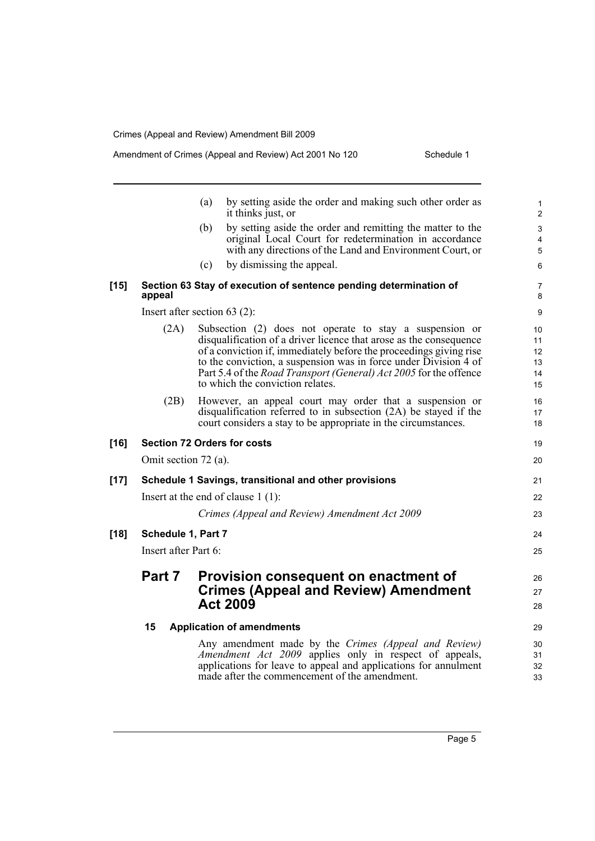|        |                      | by setting aside the order and making such other order as<br>(a)<br>it thinks just, or                                                                                                                                                                                                                                                                                           | $\mathbf{1}$<br>$\overline{c}$   |
|--------|----------------------|----------------------------------------------------------------------------------------------------------------------------------------------------------------------------------------------------------------------------------------------------------------------------------------------------------------------------------------------------------------------------------|----------------------------------|
|        |                      | by setting aside the order and remitting the matter to the<br>(b)                                                                                                                                                                                                                                                                                                                | $\ensuremath{\mathsf{3}}$        |
|        |                      | original Local Court for redetermination in accordance                                                                                                                                                                                                                                                                                                                           | 4                                |
|        |                      | with any directions of the Land and Environment Court, or                                                                                                                                                                                                                                                                                                                        | 5                                |
|        |                      | by dismissing the appeal.<br>(c)                                                                                                                                                                                                                                                                                                                                                 | 6                                |
| $[15]$ | appeal               | Section 63 Stay of execution of sentence pending determination of                                                                                                                                                                                                                                                                                                                | 7<br>8                           |
|        |                      | Insert after section 63 $(2)$ :                                                                                                                                                                                                                                                                                                                                                  | 9                                |
|        | (2A)                 | Subsection (2) does not operate to stay a suspension or<br>disqualification of a driver licence that arose as the consequence<br>of a conviction if, immediately before the proceedings giving rise<br>to the conviction, a suspension was in force under Division 4 of<br>Part 5.4 of the Road Transport (General) Act 2005 for the offence<br>to which the conviction relates. | 10<br>11<br>12<br>13<br>14<br>15 |
|        | (2B)                 | However, an appeal court may order that a suspension or<br>disqualification referred to in subsection (2A) be stayed if the<br>court considers a stay to be appropriate in the circumstances.                                                                                                                                                                                    | 16<br>17<br>18                   |
| $[16]$ |                      | <b>Section 72 Orders for costs</b>                                                                                                                                                                                                                                                                                                                                               | 19                               |
|        | Omit section 72 (a). |                                                                                                                                                                                                                                                                                                                                                                                  | 20                               |
| $[17]$ |                      | Schedule 1 Savings, transitional and other provisions                                                                                                                                                                                                                                                                                                                            | 21                               |
|        |                      | Insert at the end of clause $1(1)$ :                                                                                                                                                                                                                                                                                                                                             | 22                               |
|        |                      | Crimes (Appeal and Review) Amendment Act 2009                                                                                                                                                                                                                                                                                                                                    | 23                               |
| $[18]$ | Schedule 1, Part 7   |                                                                                                                                                                                                                                                                                                                                                                                  | 24                               |
|        | Insert after Part 6: |                                                                                                                                                                                                                                                                                                                                                                                  |                                  |
|        | Part 7               | <b>Provision consequent on enactment of</b>                                                                                                                                                                                                                                                                                                                                      | 26                               |
|        |                      | <b>Crimes (Appeal and Review) Amendment</b>                                                                                                                                                                                                                                                                                                                                      | 27                               |
|        |                      | <b>Act 2009</b>                                                                                                                                                                                                                                                                                                                                                                  | 28                               |
|        | 15                   | <b>Application of amendments</b>                                                                                                                                                                                                                                                                                                                                                 | 29                               |
|        |                      | Any amendment made by the Crimes (Appeal and Review)                                                                                                                                                                                                                                                                                                                             | 30                               |
|        |                      | Amendment Act 2009 applies only in respect of appeals,                                                                                                                                                                                                                                                                                                                           | 31                               |
|        |                      | applications for leave to appeal and applications for annulment                                                                                                                                                                                                                                                                                                                  | 32                               |
|        |                      | made after the commencement of the amendment.                                                                                                                                                                                                                                                                                                                                    | 33                               |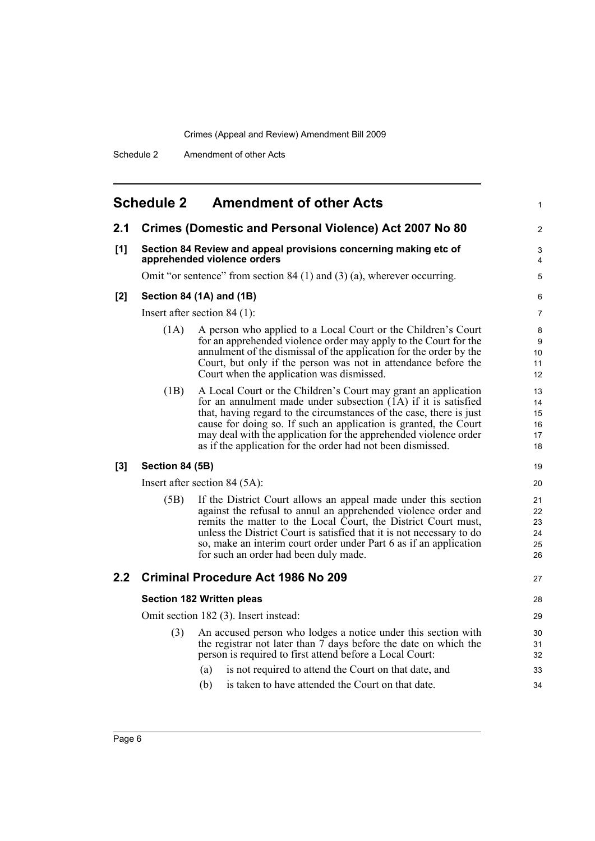<span id="page-13-0"></span>

| <b>Schedule 2</b><br><b>Amendment of other Acts</b> |                                                                                                 |                                                                                                                                                                                                                                                                                                                                                                                                                  |                                  |  |
|-----------------------------------------------------|-------------------------------------------------------------------------------------------------|------------------------------------------------------------------------------------------------------------------------------------------------------------------------------------------------------------------------------------------------------------------------------------------------------------------------------------------------------------------------------------------------------------------|----------------------------------|--|
| 2.1                                                 |                                                                                                 | <b>Crimes (Domestic and Personal Violence) Act 2007 No 80</b>                                                                                                                                                                                                                                                                                                                                                    | $\overline{c}$                   |  |
| [1]                                                 | Section 84 Review and appeal provisions concerning making etc of<br>apprehended violence orders |                                                                                                                                                                                                                                                                                                                                                                                                                  |                                  |  |
|                                                     |                                                                                                 | Omit "or sentence" from section $84(1)$ and $(3)(a)$ , wherever occurring.                                                                                                                                                                                                                                                                                                                                       | 5                                |  |
| $[2]$                                               |                                                                                                 | Section 84 (1A) and (1B)                                                                                                                                                                                                                                                                                                                                                                                         | 6                                |  |
|                                                     | Insert after section $84(1)$ :                                                                  |                                                                                                                                                                                                                                                                                                                                                                                                                  |                                  |  |
|                                                     | (1A)                                                                                            | A person who applied to a Local Court or the Children's Court<br>for an apprehended violence order may apply to the Court for the<br>annulment of the dismissal of the application for the order by the<br>Court, but only if the person was not in attendance before the<br>Court when the application was dismissed.                                                                                           | 8<br>9<br>10<br>11<br>12         |  |
|                                                     | (1B)                                                                                            | A Local Court or the Children's Court may grant an application<br>for an annulment made under subsection $(1A)$ if it is satisfied<br>that, having regard to the circumstances of the case, there is just<br>cause for doing so. If such an application is granted, the Court<br>may deal with the application for the apprehended violence order<br>as if the application for the order had not been dismissed. | 13<br>14<br>15<br>16<br>17<br>18 |  |
| $[3]$                                               | Section 84 (5B)                                                                                 |                                                                                                                                                                                                                                                                                                                                                                                                                  | 19                               |  |
|                                                     | Insert after section 84 (5A):                                                                   |                                                                                                                                                                                                                                                                                                                                                                                                                  |                                  |  |
|                                                     | (5B)                                                                                            | If the District Court allows an appeal made under this section<br>against the refusal to annul an apprehended violence order and<br>remits the matter to the Local Court, the District Court must,<br>unless the District Court is satisfied that it is not necessary to do<br>so, make an interim court order under Part 6 as if an application<br>for such an order had been duly made.                        | 21<br>22<br>23<br>24<br>25<br>26 |  |
| 2.2                                                 |                                                                                                 | <b>Criminal Procedure Act 1986 No 209</b>                                                                                                                                                                                                                                                                                                                                                                        | 27                               |  |
|                                                     |                                                                                                 | <b>Section 182 Written pleas</b>                                                                                                                                                                                                                                                                                                                                                                                 | 28                               |  |
|                                                     | Omit section 182 (3). Insert instead:                                                           |                                                                                                                                                                                                                                                                                                                                                                                                                  |                                  |  |
|                                                     | (3)                                                                                             | An accused person who lodges a notice under this section with<br>the registrar not later than 7 days before the date on which the<br>person is required to first attend before a Local Court:                                                                                                                                                                                                                    | 30<br>31<br>32                   |  |
|                                                     |                                                                                                 | (a)<br>is not required to attend the Court on that date, and                                                                                                                                                                                                                                                                                                                                                     | 33                               |  |
|                                                     |                                                                                                 | is taken to have attended the Court on that date.<br>(b)                                                                                                                                                                                                                                                                                                                                                         | 34                               |  |